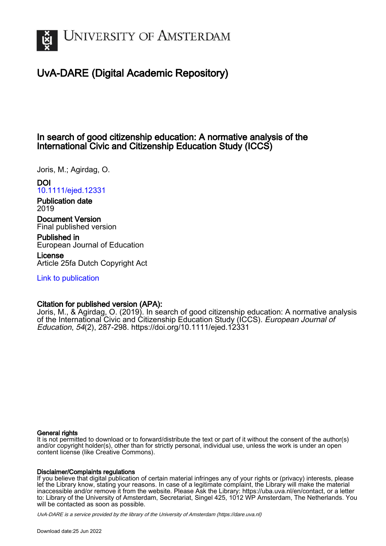

# UvA-DARE (Digital Academic Repository)

# In search of good citizenship education: A normative analysis of the International Civic and Citizenship Education Study (ICCS)

Joris, M.; Agirdag, O.

DOI [10.1111/ejed.12331](https://doi.org/10.1111/ejed.12331)

Publication date 2019

Document Version Final published version

Published in European Journal of Education

License Article 25fa Dutch Copyright Act

[Link to publication](https://dare.uva.nl/personal/pure/en/publications/in-search-of-good-citizenship-education-a-normative-analysis-of-the-international-civic-and-citizenship-education-study-iccs(c52e86d2-b0b1-4790-b577-a0a02e31d7b6).html)

# Citation for published version (APA):

Joris, M., & Agirdag, O. (2019). In search of good citizenship education: A normative analysis of the International Civic and Citizenship Education Study (ICCS). European Journal of Education, 54(2), 287-298.<https://doi.org/10.1111/ejed.12331>

#### General rights

It is not permitted to download or to forward/distribute the text or part of it without the consent of the author(s) and/or copyright holder(s), other than for strictly personal, individual use, unless the work is under an open content license (like Creative Commons).

#### Disclaimer/Complaints regulations

If you believe that digital publication of certain material infringes any of your rights or (privacy) interests, please let the Library know, stating your reasons. In case of a legitimate complaint, the Library will make the material inaccessible and/or remove it from the website. Please Ask the Library: https://uba.uva.nl/en/contact, or a letter to: Library of the University of Amsterdam, Secretariat, Singel 425, 1012 WP Amsterdam, The Netherlands. You will be contacted as soon as possible.

UvA-DARE is a service provided by the library of the University of Amsterdam (http*s*://dare.uva.nl)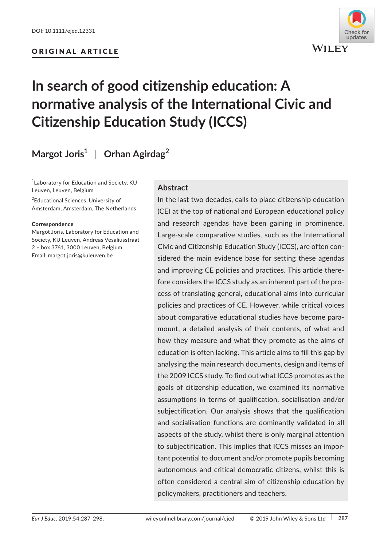### ORIGINAL ARTICLE



# **In search of good citizenship education: A normative analysis of the International Civic and Citizenship Education Study (ICCS)**

# **Margot Joris1** | **Orhan Agirdag<sup>2</sup>**

1 Laboratory for Education and Society, KU Leuven, Leuven, Belgium 2 Educational Sciences, University of Amsterdam, Amsterdam, The Netherlands

#### **Correspondence**

Margot Joris, Laboratory for Education and Society, KU Leuven, Andreas Vesaliusstraat 2 – box 3761, 3000 Leuven, Belgium. Email: [margot.joris@kuleuven.be](mailto:margot.joris@kuleuven.be)

#### **Abstract**

In the last two decades, calls to place citizenship education (CE) at the top of national and European educational policy and research agendas have been gaining in prominence. Large‐scale comparative studies, such as the International Civic and Citizenship Education Study (ICCS), are often con‐ sidered the main evidence base for setting these agendas and improving CE policies and practices. This article there‐ fore considers the ICCS study as an inherent part of the pro‐ cess of translating general, educational aims into curricular policies and practices of CE. However, while critical voices about comparative educational studies have become para‐ mount, a detailed analysis of their contents, of what and how they measure and what they promote as the aims of education is often lacking. This article aims to fill this gap by analysing the main research documents, design and items of the 2009 ICCS study. To find out what ICCS promotes as the goals of citizenship education, we examined its normative assumptions in terms of qualification, socialisation and/or subjectification. Our analysis shows that the qualification and socialisation functions are dominantly validated in all aspects of the study, whilst there is only marginal attention to subjectification. This implies that ICCS misses an impor‐ tant potential to document and/or promote pupils becoming autonomous and critical democratic citizens, whilst this is often considered a central aim of citizenship education by policymakers, practitioners and teachers.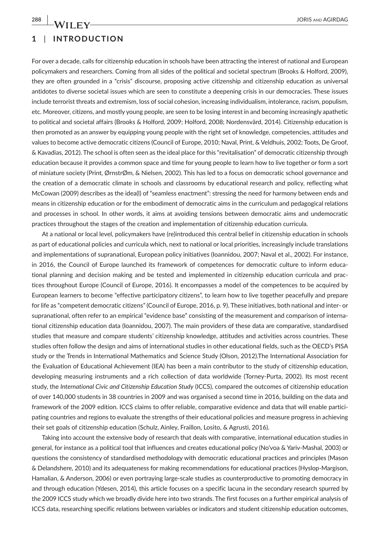## **1** | **INTRODUCTION**

For over a decade, calls for citizenship education in schools have been attracting the interest of national and European policymakers and researchers. Coming from all sides of the political and societal spectrum (Brooks & Holford, 2009), they are often grounded in a "crisis" discourse, proposing active citizenship and citizenship education as universal antidotes to diverse societal issues which are seen to constitute a deepening crisis in our democracies. These issues include terrorist threats and extremism, loss of social cohesion, increasing individualism, intolerance, racism, populism, etc. Moreover, citizens, and mostly young people, are seen to be losing interest in and becoming increasingly apathetic to political and societal affairs (Brooks & Holford, 2009; Holford, 2008; Nordensvärd, 2014). Citizenship education is then promoted as an answer by equipping young people with the right set of knowledge, competencies, attitudes and values to become active democratic citizens (Council of Europe, 2010; Naval, Print, & Veldhuis, 2002; Toots, De Groof, & Kavadias, 2012). The school is often seen as the ideal place for this "revitalisation" of democratic citizenship through education because it provides a common space and time for young people to learn how to live together or form a sort of miniature society (Print, ØrnstrØm, & Nielsen, 2002). This has led to a focus on democratic school governance and the creation of a democratic climate in schools and classrooms by educational research and policy, reflecting what McCowan (2009) describes as the idea(l) of "seamless enactment": stressing the need for harmony between ends and means in citizenship education or for the embodiment of democratic aims in the curriculum and pedagogical relations and processes in school. In other words, it aims at avoiding tensions between democratic aims and undemocratic practices throughout the stages of the creation and implementation of citizenship education curricula.

At a national or local level, policymakers have (re)introduced this central belief in citizenship education in schools as part of educational policies and curricula which, next to national or local priorities, increasingly include translations and implementations of supranational, European policy initiatives (Ioannidou, 2007; Naval et al., 2002). For instance, in 2016, the Council of Europe launched its framework of competences for democratic culture to inform educational planning and decision making and be tested and implemented in citizenship education curricula and prac‐ tices throughout Europe (Council of Europe, 2016). It encompasses a model of the competences to be acquired by European learners to become "effective participatory citizens", to learn how to live together peacefully and prepare for life as "competent democratic citizens" (Council of Europe, 2016, p. 9). These initiatives, both national and inter‐ or supranational, often refer to an empirical "evidence base" consisting of the measurement and comparison of international citizenship education data (Ioannidou, 2007). The main providers of these data are comparative, standardised studies that measure and compare students' citizenship knowledge, attitudes and activities across countries. These studies often follow the design and aims of international studies in other educational fields, such as the OECD's PISA study or the Trends in International Mathematics and Science Study (Olson, 2012).The International Association for the Evaluation of Educational Achievement (IEA) has been a main contributor to the study of citizenship education, developing measuring instruments and a rich collection of data worldwide (Torney‐Purta, 2002). Its most recent study, the *International Civic and Citizenship Education Study* (ICCS), compared the outcomes of citizenship education of over 140,000 students in 38 countries in 2009 and was organised a second time in 2016, building on the data and framework of the 2009 edition. ICCS claims to offer reliable, comparative evidence and data that will enable participating countries and regions to evaluate the strengths of their educational policies and measure progress in achieving their set goals of citizenship education (Schulz, Ainley, Fraillon, Losito, & Agrusti, 2016).

Taking into account the extensive body of research that deals with comparative, international education studies in general, for instance as a political tool that influences and creates educational policy (No'voa & Yariv‐Mashal, 2003) or questions the consistency of standardised methodology with democratic educational practices and principles (Mason & Delandshere, 2010) and its adequateness for making recommendations for educational practices (Hyslop‐Margison, Hamalian, & Anderson, 2006) or even portraying large‐scale studies as counterproductive to promoting democracy in and through education (Ydesen, 2014), this article focuses on a specific lacuna in the secondary research spurred by the 2009 ICCS study which we broadly divide here into two strands. The first focuses on a further empirical analysis of ICCS data, researching specific relations between variables or indicators and student citizenship education outcomes,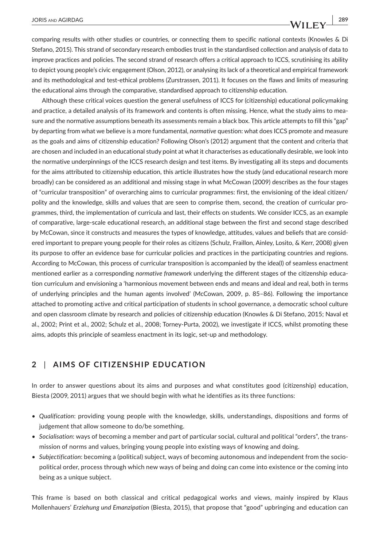comparing results with other studies or countries, or connecting them to specific national contexts (Knowles & Di

Stefano, 2015). This strand of secondary research embodies trust in the standardised collection and analysis of data to improve practices and policies. The second strand of research offers a critical approach to ICCS, scrutinising its ability to depict young people's civic engagement (Olson, 2012), or analysing its lack of a theoretical and empirical framework and its methodological and test‐ethical problems (Zurstrassen, 2011). It focuses on the flaws and limits of measuring the educational aims through the comparative, standardised approach to citizenship education.

Although these critical voices question the general usefulness of ICCS for (citizenship) educational policymaking and practice, a detailed analysis of its framework and contents is often missing. Hence, what the study aims to measure and the normative assumptions beneath its assessments remain a black box. This article attempts to fill this "gap" by departing from what we believe is a more fundamental, *normative* question: what does ICCS promote and measure as the goals and aims of citizenship education? Following Olson's (2012) argument that the content and criteria that are chosen and included in an educational study point at what it characterises as educationally desirable, we look into the normative underpinnings of the ICCS research design and test items. By investigating all its steps and documents for the aims attributed to citizenship education, this article illustrates how the study (and educational research more broadly) can be considered as an additional and missing stage in what McCowan (2009) describes as the four stages of "curricular transposition" of overarching aims to curricular programmes: first, the envisioning of the ideal citizen/ polity and the knowledge, skills and values that are seen to comprise them, second, the creation of curricular programmes, third, the implementation of curricula and last, their effects on students. We consider ICCS, as an example of comparative, large‐scale educational research, an additional stage between the first and second stage described by McCowan, since it constructs and measures the types of knowledge, attitudes, values and beliefs that are consid‐ ered important to prepare young people for their roles as citizens (Schulz, Fraillon, Ainley, Losito, & Kerr, 2008) given its purpose to offer an evidence base for curricular policies and practices in the participating countries and regions. According to McCowan, this process of curricular transposition is accompanied by the idea(l) of seamless enactment mentioned earlier as a corresponding *normative framework* underlying the different stages of the citizenship educa‐ tion curriculum and envisioning a 'harmonious movement between ends and means and ideal and real, both in terms of underlying principles and the human agents involved' (McCowan, 2009, p. 85–86). Following the importance attached to promoting active and critical participation of students in school governance, a democratic school culture and open classroom climate by research and policies of citizenship education (Knowles & Di Stefano, 2015; Naval et al., 2002; Print et al., 2002; Schulz et al., 2008; Torney‐Purta, 2002), we investigate if ICCS, whilst promoting these aims, adopts this principle of seamless enactment in its logic, set‐up and methodology.

## **2** | **AIMS OF CITIZENSHIP EDUCATION**

In order to answer questions about its aims and purposes and what constitutes good (citizenship) education, Biesta (2009, 2011) argues that we should begin with what he identifies as its three functions:

- *Qualification*: providing young people with the knowledge, skills, understandings, dispositions and forms of judgement that allow someone to do/be something.
- *Socialisation*: ways of becoming a member and part of particular social, cultural and political "orders", the trans‐ mission of norms and values, bringing young people into existing ways of knowing and doing.
- *Subjectification*: becoming a (political) subject, ways of becoming autonomous and independent from the socio‐ political order, process through which new ways of being and doing can come into existence or the coming into being as a unique subject.

This frame is based on both classical and critical pedagogical works and views, mainly inspired by Klaus Mollenhauers' *Erziehung und Emanzipation* (Biesta, 2015), that propose that "good" upbringing and education can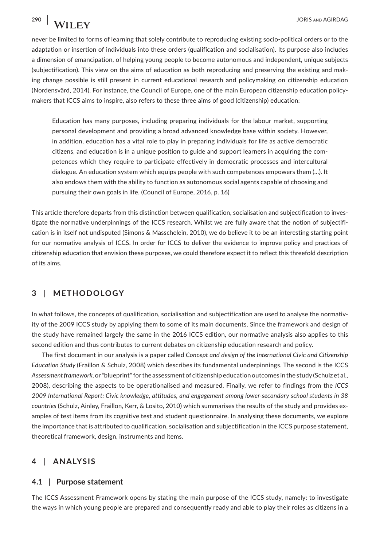never be limited to forms of learning that solely contribute to reproducing existing socio‐political orders or to the adaptation or insertion of individuals into these orders (qualification and socialisation). Its purpose also includes a dimension of emancipation, of helping young people to become autonomous and independent, unique subjects (subjectification). This view on the aims of education as both reproducing and preserving the existing and mak‐ ing change possible is still present in current educational research and policymaking on citizenship education (Nordensvärd, 2014). For instance, the Council of Europe, one of the main European citizenship education policy‐ makers that ICCS aims to inspire, also refers to these three aims of good (citizenship) education:

Education has many purposes, including preparing individuals for the labour market, supporting personal development and providing a broad advanced knowledge base within society. However, in addition, education has a vital role to play in preparing individuals for life as active democratic citizens, and education is in a unique position to guide and support learners in acquiring the competences which they require to participate effectively in democratic processes and intercultural dialogue. An education system which equips people with such competences empowers them (…). It also endows them with the ability to function as autonomous social agents capable of choosing and pursuing their own goals in life. (Council of Europe, 2016, p. 16)

This article therefore departs from this distinction between qualification, socialisation and subjectification to inves‐ tigate the normative underpinnings of the ICCS research. Whilst we are fully aware that the notion of subjectifi‐ cation is in itself not undisputed (Simons & Masschelein, 2010), we do believe it to be an interesting starting point for our normative analysis of ICCS. In order for ICCS to deliver the evidence to improve policy and practices of citizenship education that envision these purposes, we could therefore expect it to reflect this threefold description of its aims.

### **3** | **METHODOLOGY**

In what follows, the concepts of qualification, socialisation and subjectification are used to analyse the normativity of the 2009 ICCS study by applying them to some of its main documents. Since the framework and design of the study have remained largely the same in the 2016 ICCS edition, our normative analysis also applies to this second edition and thus contributes to current debates on citizenship education research and policy.

The first document in our analysis is a paper called *Concept and design of the International Civic and Citizenship Education Study* (Fraillon & Schulz, 2008) which describes its fundamental underpinnings. The second is the ICCS *Assessment framework,* or "blueprint" for the assessment of citizenship education outcomes in the study (Schulz et al., 2008), describing the aspects to be operationalised and measured. Finally, we refer to findings from the *ICCS 2009 International Report: Civic knowledge, attitudes, and engagement among lower‐secondary school students in 38 countries* (Schulz, Ainley, Fraillon, Kerr, & Losito, 2010) which summarises the results of the study and provides ex‐ amples of test items from its cognitive test and student questionnaire. In analysing these documents, we explore the importance that is attributed to qualification, socialisation and subjectification in the ICCS purpose statement, theoretical framework, design, instruments and items.

### **4** | **ANALYSIS**

#### **4.1** | **Purpose statement**

The ICCS Assessment Framework opens by stating the main purpose of the ICCS study, namely: to investigate the ways in which young people are prepared and consequently ready and able to play their roles as citizens in a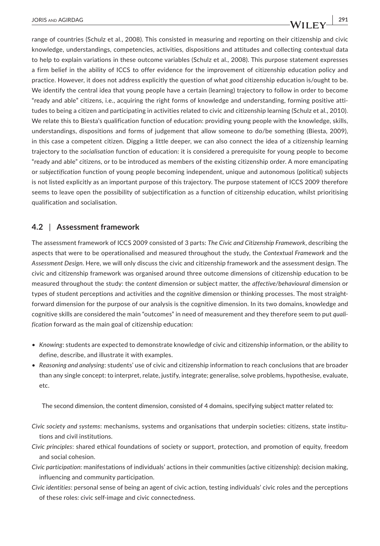range of countries (Schulz et al., 2008). This consisted in measuring and reporting on their citizenship and civic knowledge, understandings, competencies, activities, dispositions and attitudes and collecting contextual data to help to explain variations in these outcome variables (Schulz et al., 2008). This purpose statement expresses a firm belief in the ability of ICCS to offer evidence for the improvement of citizenship education policy and practice. However, it does not address explicitly the question of what *good* citizenship education is/ought to be. We identify the central idea that young people have a certain (learning) trajectory to follow in order to become "ready and able" citizens, i.e., acquiring the right forms of knowledge and understanding, forming positive atti‐ tudes to being a citizen and participating in activities related to civic and citizenship learning (Schulz et al., 2010). We relate this to Biesta's qualification function of education: providing young people with the knowledge, skills, understandings, dispositions and forms of judgement that allow someone to do/be something (Biesta, 2009), in this case a competent citizen. Digging a little deeper, we can also connect the idea of a citizenship learning trajectory to the *socialisation* function of education: it is considered a prerequisite for young people to become "ready and able" citizens, or to be introduced as members of the existing citizenship order. A more emancipating or *subjectification* function of young people becoming independent, unique and autonomous (political) subjects

is not listed explicitly as an important purpose of this trajectory. The purpose statement of ICCS 2009 therefore seems to leave open the possibility of subjectification as a function of citizenship education, whilst prioritising qualification and socialisation.

### **4.2** | **Assessment framework**

The assessment framework of ICCS 2009 consisted of 3 parts: *The Civic and Citizenship Framework*, describing the aspects that were to be operationalised and measured throughout the study, the *Contextual Framework* and the *Assessment Design*. Here, we will only discuss the civic and citizenship framework and the assessment design. The civic and citizenship framework was organised around three outcome dimensions of citizenship education to be measured throughout the study: the c*ontent* dimension or subject matter, the *affective/behavioural* dimension or types of student perceptions and activities and the *cognitive* dimension or thinking processes. The most straight‐ forward dimension for the purpose of our analysis is the cognitive dimension. In its two domains, knowledge and cognitive skills are considered the main "outcomes" in need of measurement and they therefore seem to put *quali‐ fication* forward as the main goal of citizenship education:

- *Knowing*: students are expected to demonstrate knowledge of civic and citizenship information, or the ability to define, describe, and illustrate it with examples.
- *Reasoning and analysing*: students' use of civic and citizenship information to reach conclusions that are broader than any single concept: to interpret, relate, justify, integrate; generalise, solve problems, hypothesise, evaluate, etc.

The second dimension, the content dimension, consisted of 4 domains, specifying subject matter related to:

- *Civic society and systems*: mechanisms, systems and organisations that underpin societies: citizens, state institu‐ tions and civil institutions.
- *Civic principles*: shared ethical foundations of society or support, protection, and promotion of equity, freedom and social cohesion.
- *Civic participation*: manifestations of individuals' actions in their communities (active citizenship): decision making, influencing and community participation.
- *Civic identities*: personal sense of being an agent of civic action, testing individuals' civic roles and the perceptions of these roles: civic self‐image and civic connectedness.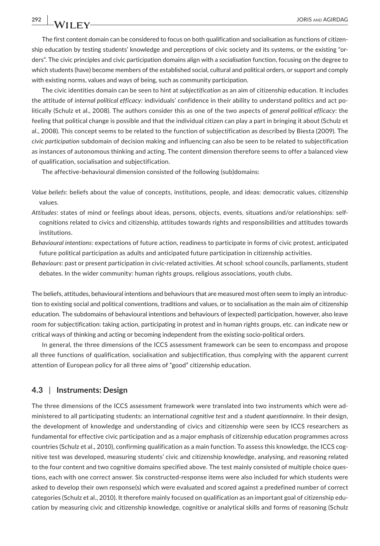The first content domain can be considered to focus on both qualification and socialisation as functions of citizenship education by testing students' knowledge and perceptions of civic society and its systems, or the existing "orders". The civic principles and civic participation domains align with a *socialisation* function, focusing on the degree to which students (have) become members of the established social, cultural and political orders, or support and comply with existing norms, values and ways of being, such as community participation.

The civic identities domain can be seen to hint at *subjectification* as an aim of citizenship education. It includes the attitude of *internal political efficacy:* individuals' confidence in their ability to understand politics and act po‐ litically (Schulz et al., 2008). The authors consider this as one of the two aspects of *general political efficacy*: the feeling that political change is possible and that the individual citizen can play a part in bringing it about (Schulz et al., 2008). This concept seems to be related to the function of subjectification as described by Biesta (2009). The *civic participation* subdomain of decision making and influencing can also be seen to be related to subjectification as instances of autonomous thinking and acting. The content dimension therefore seems to offer a balanced view of qualification, socialisation and subjectification.

The affective-behavioural dimension consisted of the following (sub)domains:

*Value beliefs*: beliefs about the value of concepts, institutions, people, and ideas: democratic values, citizenship values.

- *Attitudes*: states of mind or feelings about ideas, persons, objects, events, situations and/or relationships: self‐ cognitions related to civics and citizenship, attitudes towards rights and responsibilities and attitudes towards institutions.
- *Behavioural intentions*: expectations of future action, readiness to participate in forms of civic protest, anticipated future political participation as adults and anticipated future participation in citizenship activities.
- *Behaviours*: past or present participation in civic‐related activities. At school: school councils, parliaments, student debates. In the wider community: human rights groups, religious associations, youth clubs.

The beliefs, attitudes, behavioural intentions and behaviours that are measured most often seem to imply an introduc‐ tion to existing social and political conventions, traditions and values, or to socialisation as the main aim of citizenship education. The subdomains of behavioural intentions and behaviours of (expected) participation, however, also leave room for subjectification: taking action, participating in protest and in human rights groups, etc. can indicate new or critical ways of thinking and acting or becoming independent from the existing socio‐political orders.

In general, the three dimensions of the ICCS assessment framework can be seen to encompass and propose all three functions of qualification, socialisation and subjectification, thus complying with the apparent current attention of European policy for all three aims of "good" citizenship education.

#### **4.3** | **Instruments: Design**

The three dimensions of the ICCS assessment framework were translated into two instruments which were ad‐ ministered to all participating students: an international *cognitive test* and a *student questionnaire*. In their design, the development of knowledge and understanding of civics and citizenship were seen by ICCS researchers as fundamental for effective civic participation and as a major emphasis of citizenship education programmes across countries (Schulz et al., 2010), confirming qualification as a main function. To assess this knowledge, the ICCS cog‐ nitive test was developed, measuring students' civic and citizenship knowledge, analysing, and reasoning related to the four content and two cognitive domains specified above. The test mainly consisted of multiple choice questions, each with one correct answer. Six constructed-response items were also included for which students were asked to develop their own response(s) which were evaluated and scored against a predefined number of correct categories (Schulz et al., 2010). It therefore mainly focused on qualification as an important goal of citizenship education by measuring civic and citizenship knowledge, cognitive or analytical skills and forms of reasoning (Schulz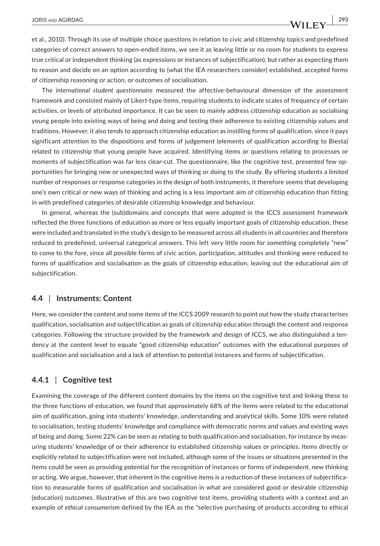et al., 2010). Through its use of multiple choice questions in relation to civic and citizenship topics and predefined categories of correct answers to open‐ended items, we see it as leaving little or no room for students to express true critical or independent thinking (as expressions or instances of subjectification), but rather as expecting them to reason and decide on an option according to (what the IEA researchers consider) established, accepted forms of citizenship reasoning or action, or outcomes of socialisation.

The *international student questionnaire* measured the affective‐behavioural dimension of the assessment framework and consisted mainly of Likert‐type items, requiring students to indicate scales of frequency of certain activities, or levels of attributed importance. It can be seen to mainly address citizenship education as socialising young people into existing ways of being and doing and testing their adherence to existing citizenship values and traditions. However, it also tends to approach citizenship education as instilling forms of qualification, since it pays significant attention to the dispositions and forms of judgement (elements of qualification according to Biesta) related to citizenship that young people have acquired. Identifying items or questions relating to processes or moments of subjectification was far less clear-cut. The questionnaire, like the cognitive test, presented few opportunities for bringing new or unexpected ways of thinking or doing to the study. By offering students a limited number of responses or response categories in the design of both instruments, it therefore seems that developing one's own critical or new ways of thinking and acting is a less important aim of citizenship education than fitting in with predefined categories of desirable citizenship knowledge and behaviour.

In general, whereas the (sub)domains and concepts that were adopted in the ICCS assessment framework reflected the three functions of education as more or less equally important goals of citizenship education, these were included and translated in the study's design to be measured across all students in all countries and therefore reduced to predefined, universal categorical answers. This left very little room for something completely "new" to come to the fore, since all possible forms of civic action, participation, attitudes and thinking were reduced to forms of qualification and socialisation as the goals of citizenship education, leaving out the educational aim of subjectification.

#### **4.4** | **Instruments: Content**

Here, we consider the content and some items of the ICCS 2009 research to point out how the study characterises qualification, socialisation and subjectification as goals of citizenship education through the content and response categories. Following the structure provided by the framework and design of ICCS, we also distinguished a ten‐ dency at the content level to equate "good citizenship education" outcomes with the educational purposes of qualification and socialisation and a lack of attention to potential instances and forms of subjectification.

#### **4.4.1** | **Cognitive test**

Examining the coverage of the different content domains by the items on the cognitive test and linking these to the three functions of education, we found that approximately 68% of the items were related to the educational aim of qualification, going into students' knowledge, understanding and analytical skills. Some 10% were related to socialisation, testing students' knowledge and compliance with democratic norms and values and existing ways of being and doing. Some 22% can be seen as relating to both qualification and socialisation, for instance by meas‐ uring students' knowledge of or their adherence to established citizenship values or principles. Items directly or explicitly related to subjectification were not included, although some of the issues or situations presented in the items could be seen as providing potential for the recognition of instances or forms of independent, new thinking or acting. We argue, however, that inherent in the cognitive items is a reduction of these instances of subjectifica‐ tion to measurable forms of qualification and socialisation in what are considered good or desirable citizenship (education) outcomes. Illustrative of this are two cognitive test items, providing students with a context and an example of *ethical consumerism* defined by the IEA as the "selective purchasing of products according to ethical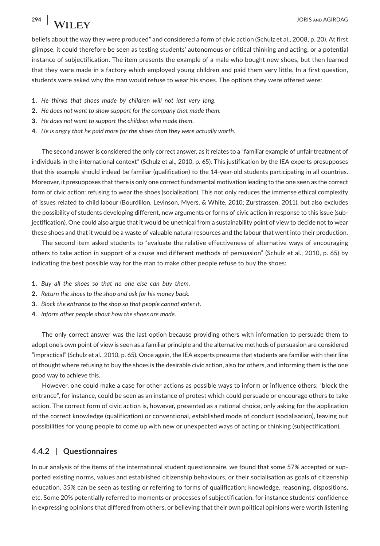beliefs about the way they were produced" and considered a form of civic action (Schulz et al., 2008, p. 20). At first glimpse, it could therefore be seen as testing students' autonomous or critical thinking and acting, or a potential instance of subjectification. The item presents the example of a male who bought new shoes, but then learned that they were made in a factory which employed young children and paid them very little. In a first question, students were asked why the man would refuse to wear his shoes. The options they were offered were:

- **1.** *He thinks that shoes made by children will not last very long*.
- **2.** *He does not want to show support for the company that made them*.
- **3.** *He does not want to support the children who made them*.
- **4.** *He is angry that he paid more for the shoes than they were actually worth*.

The second answer is considered the only correct answer, as it relates to a "familiar example of unfair treatment of individuals in the international context" (Schulz et al., 2010, p. 65). This justification by the IEA experts presupposes that this example should indeed be familiar (qualification) to the 14‐year‐old students participating in all countries. Moreover, it presupposes that there is only one correct fundamental motivation leading to the one seen as the correct form of civic action: refusing to wear the shoes (socialisation). This not only reduces the immense ethical complexity of issues related to child labour (Bourdillon, Levinson, Myers, & White, 2010; Zurstrassen, 2011), but also excludes the possibility of students developing different, new arguments or forms of civic action in response to this issue (sub‐ jectification). One could also argue that it would be unethical from a sustainability point of view to decide not to wear these shoes and that it would be a waste of valuable natural resources and the labour that went into their production.

The second item asked students to "evaluate the relative effectiveness of alternative ways of encouraging others to take action in support of a cause and different methods of persuasion" (Schulz et al., 2010, p. 65) by indicating the best possible way for the man to make other people refuse to buy the shoes:

- **1.** *Buy all the shoes so that no one else can buy them.*
- **2.** *Return the shoes to the shop and ask for his money back.*
- **3.** *Block the entrance to the shop so that people cannot enter it*.
- **4.** *Inform other people about how the shoes are made*.

The only correct answer was the last option because providing others with information to persuade them to adopt one's own point of view is seen as a familiar principle and the alternative methods of persuasion are considered "impractical" (Schulz et al., 2010, p. 65). Once again, the IEA experts presume that students are familiar with their line of thought where refusing to buy the shoes is the desirable civic action, also for others, and informing them is the one good way to achieve this.

However, one could make a case for other actions as possible ways to inform or influence others: "block the entrance", for instance, could be seen as an instance of protest which could persuade or encourage others to take action. The correct form of civic action is, however, presented as a rational choice, only asking for the application of the correct knowledge (qualification) or conventional, established mode of conduct (socialisation), leaving out possibilities for young people to come up with new or unexpected ways of acting or thinking (subjectification).

#### **4.4.2** | **Questionnaires**

In our analysis of the items of the international student questionnaire, we found that some 57% accepted or supported existing norms, values and established citizenship behaviours, or their socialisation as goals of citizenship education. 35% can be seen as testing or referring to forms of qualification: knowledge, reasoning, dispositions, etc. Some 20% potentially referred to moments or processes of subjectification, for instance students' confidence in expressing opinions that differed from others, or believing that their own political opinions were worth listening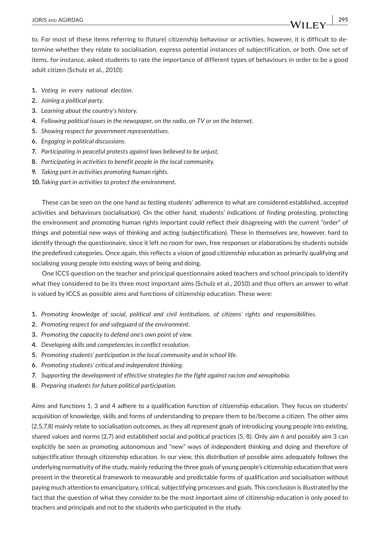to. For most of these items referring to (future) citizenship behaviour or activities, however, it is difficult to de‐ termine whether they relate to socialisation, express potential instances of subjectification, or both. One set of items, for instance, asked students to rate the importance of different types of behaviours in order to be a good adult citizen (Schulz et al., 2010):

- **1.** *Voting in every national election*.
- **2.** *Joining a political party*.
- **3.** *Learning about the country's history*.
- **4.** *Following political issues in the newspaper, on the radio, on TV or on the Internet*.
- **5.** *Showing respect for government representatives.*
- **6.** *Engaging in political discussions*.
- **7.** *Participating in peaceful protests against laws believed to be unjust.*
- **8.** *Participating in activities to benefit people in the local community*.
- **9.** *Taking part in activities promoting human rights*.

**10.***Taking part in activities to protect the environment*.

These can be seen on the one hand as testing students' adherence to what are considered established, accepted activities and behaviours (socialisation). On the other hand, students' indications of finding protesting, protecting the environment and promoting human rights important could reflect their disagreeing with the current "order" of things and potential new ways of thinking and acting (subjectification). These in themselves are, however, hard to identify through the questionnaire, since it left no room for own, free responses or elaborations by students outside the predefined categories. Once again, this reflects a vision of good citizenship education as primarily qualifying and socialising young people into existing ways of being and doing.

One ICCS question on the teacher and principal questionnaire asked teachers and school principals to identify what they considered to be its three most important aims (Schulz et al., 2010) and thus offers an answer to what is valued by ICCS as possible aims and functions of citizenship education. These were:

- **1.** *Promoting knowledge of social, political and civil institutions, of citizens' rights and responsibilities*.
- **2.** *Promoting respect for and safeguard of the environment*.
- **3.** *Promoting the capacity to defend one's own point of view*.
- **4.** *Developing skills and competencies in conflict resolution*.
- **5.** *Promoting students' participation in the local community and in school life*.
- **6.** *Promoting students' critical and independent thinking*.
- **7.** *Supporting the development of effective strategies for the fight against racism and xenophobia*.
- **8.** *Preparing students for future political participation.*

Aims and functions 1, 3 and 4 adhere to a qualification function of citizenship education. They focus on students' acquisition of knowledge, skills and forms of understanding to prepare them to be/become a citizen. The other aims (2,5,7,8) mainly relate to socialisation outcomes, as they all represent goals of introducing young people into existing, shared values and norms (2,7) and established social and political practices (5, 8). Only aim 6 and possibly aim 3 can explicitly be seen as promoting autonomous and "new" ways of independent thinking and doing and therefore of subjectification through citizenship education. In our view, this distribution of possible aims adequately follows the underlying normativity of the study, mainly reducing the three goals of young people's citizenship education that were present in the theoretical framework to measurable and predictable forms of qualification and socialisation without paying much attention to emancipatory, critical, subjectifying processes and goals. This conclusion is illustrated by the fact that the question of what they consider to be the most important aims of citizenship education is only posed to teachers and principals and not to the students who participated in the study.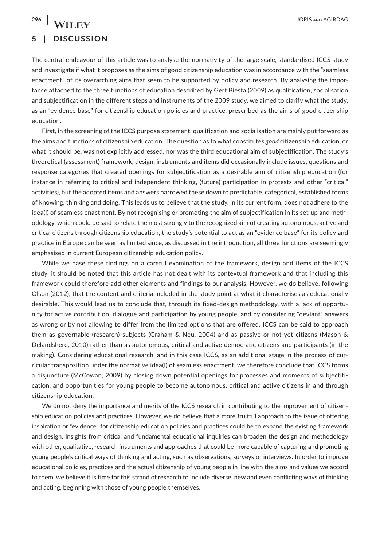## **5** | **DISCUSSION**

The central endeavour of this article was to analyse the normativity of the large scale, standardised ICCS study and investigate if what it proposes as the aims of good citizenship education was in accordance with the "seamless enactment" of its overarching aims that seem to be supported by policy and research. By analysing the importance attached to the three functions of education described by Gert Biesta (2009) as qualification, socialisation and subjectification in the different steps and instruments of the 2009 study, we aimed to clarify what the study, as an "evidence base" for citizenship education policies and practice, prescribed as the aims of good citizenship education.

First, in the screening of the ICCS purpose statement, qualification and socialisation are mainly put forward as the aims and functions of citizenship education. The question as to what constitutes *good* citizenship education, or what it should be, was not explicitly addressed, nor was the third educational aim of subjectification. The study's theoretical (assessment) framework, design, instruments and items did occasionally include issues, questions and response categories that created openings for subjectification as a desirable aim of citizenship education (for instance in referring to critical and independent thinking, (future) participation in protests and other "critical" activities), but the adopted items and answers narrowed these down to predictable, categorical, established forms of knowing, thinking and doing. This leads us to believe that the study, in its current form, does not adhere to the idea(l) of seamless enactment. By not recognising or promoting the aim of subjectification in its set‐up and meth‐ odology, which could be said to relate the most strongly to the recognized aim of creating autonomous, active and critical citizens through citizenship education, the study's potential to act as an "evidence base" for its policy and practice in Europe can be seen as limited since, as discussed in the introduction, all three functions are seemingly emphasised in current European citizenship education policy.

While we base these findings on a careful examination of the framework, design and items of the ICCS study, it should be noted that this article has not dealt with its contextual framework and that including this framework could therefore add other elements and findings to our analysis. However, we do believe, following Olson (2012), that the content and criteria included in the study point at what it characterises as educationally desirable. This would lead us to conclude that, through its fixed-design methodology, with a lack of opportunity for active contribution, dialogue and participation by young people, and by considering "deviant" answers as wrong or by not allowing to differ from the limited options that are offered, ICCS can be said to approach them as governable (research) subjects (Graham & Neu, 2004) and as passive or not‐yet citizens (Mason & Delandshere, 2010) rather than as autonomous, critical and active democratic citizens and participants (in the making). Considering educational research, and in this case ICCS, as an additional stage in the process of curricular transposition under the normative idea(l) of seamless enactment, we therefore conclude that ICCS forms a disjuncture (McCowan, 2009) by closing down potential openings for processes and moments of subjectifi‐ cation, and opportunities for young people to become autonomous, critical and active citizens in and through citizenship education.

We do not deny the importance and merits of the ICCS research in contributing to the improvement of citizenship education policies and practices. However, we do believe that a more fruitful approach to the issue of offering inspiration or "evidence" for citizenship education policies and practices could be to expand the existing framework and design. Insights from critical and fundamental educational inquiries can broaden the design and methodology with other, qualitative, research instruments and approaches that could be more capable of capturing and promoting young people's critical ways of thinking and acting, such as observations, surveys or interviews. In order to improve educational policies, practices and the actual citizenship of young people in line with the aims and values we accord to them, we believe it is time for this strand of research to include diverse, new and even conflicting ways of thinking and acting, beginning with those of young people themselves.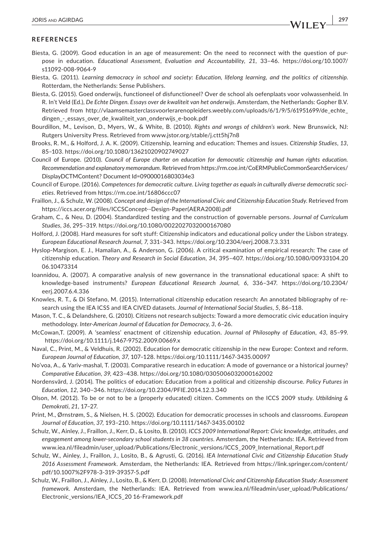#### **REFERENCES**

- Biesta, G. (2009). Good education in an age of measurement: On the need to reconnect with the question of purpose in education. *Educational Assessment, Evaluation and Accountability*, *21*, 33–46. [https://doi.org/10.1007/](https://doi.org/10.1007/s11092-008-9064-9) [s11092-008-9064-9](https://doi.org/10.1007/s11092-008-9064-9)
- Biesta, G. (2011). *Learning democracy in school and society: Education, lifelong learning, and the politics of citizenship*. Rotterdam, the Netherlands: Sense Publishers.
- Biesta, G. (2015). Goed onderwijs, functioneel of disfunctioneel? Over de school als oefenplaats voor volwassenheid. In R. In't Veld (Ed.), *De Echte Dingen. Essays over de kwaliteit van het onderwijs*. Amsterdam, the Netherlands: Gopher B.V. Retrieved from [http://vlaamsemasterclassvoorlerarenopleiders.weebly.com/uploads/6/1/9/5/61951699/de\\_echte\\_](http://vlaamsemasterclassvoorlerarenopleiders.weebly.com/uploads/6/1/9/5/61951699/de_echte_dingen_-_essays_over_de_kwaliteit_van_onderwijs_e-book.pdf) dingen - essays over de kwaliteit van onderwijs e-book.pdf
- Bourdillon, M., Levison, D., Myers, W., & White, B. (2010). *Rights and wrongs of children's work*. New Brunswick, NJ: Rutgers University Press. Retrieved from [www.jstor.org/stable/j.ctt5hj7n8](http://www.jstor.org/stable/j.ctt5hj7n8)
- Brooks, R. M., & Holford, J. A. K. (2009). Citizenship, learning and education: Themes and issues. *Citizenship Studies*, *13*, 85–103. <https://doi.org/10.1080/13621020902749027>
- Council of Europe. (2010). *Council of Europe charter on education for democratic citizenship and human rights education. Recommendation and explanatory memorandum*. Retrieved from [https://rm.coe.int/CoERMPublicCommonSearchServices/](https://rm.coe.int/CoERMPublicCommonSearchServices/DisplayDCTMContent) [DisplayDCTMContent](https://rm.coe.int/CoERMPublicCommonSearchServices/DisplayDCTMContent)[? Document Id=09000016803034e3](?Document Id=09000016803034e3)
- Council of Europe. (2016). *Competences for democratic culture. Living together as equals in culturally diverse democratic soci‐ eties*. Retrieved from <https://rm.coe.int/16806ccc07>
- Fraillon, J., & Schulz, W. (2008). *Concept and design of the International Civic and Citizenship Education Study*. Retrieved from [https://iccs.acer.org/files/ICCSConcept--Design-Paper\(AERA2008\).pdf](https://iccs.acer.org/files/ICCSConcept--Design-Paper(AERA2008).pdf)
- Graham, C., & Neu, D. (2004). Standardized testing and the construction of governable persons. *Journal of Curriculum Studies*, *36*, 295–319. <https://doi.org/10.1080/0022027032000167080>
- Holford, J. (2008). Hard measures for soft stuff: Citizenship indicators and educational policy under the Lisbon strategy. *European Educational Research Journal*, *7*, 331–343.<https://doi.org/10.2304/eerj.2008.7.3.331>
- Hyslop‐Margison, E. J., Hamalian, A., & Anderson, G. (2006). A critical examination of empirical research: The case of citizenship education. *Theory and Research in Social Education*, *34*, 395–407. [https://doi.org/10.1080/00933104.20](https://doi.org/10.1080/00933104.2006.10473314) [06.10473314](https://doi.org/10.1080/00933104.2006.10473314)
- Ioannidou, A. (2007). A comparative analysis of new governance in the transnational educational space: A shift to knowledge‐based instruments? *European Educational Research Journal*, *6*, 336–347. [https://doi.org/10.2304/](https://doi.org/10.2304/eerj.2007.6.4.336) [eerj.2007.6.4.336](https://doi.org/10.2304/eerj.2007.6.4.336)
- Knowles, R. T., & Di Stefano, M. (2015). International citizenship education research: An annotated bibliography of re‐ search using the IEA ICSS and IEA CIVED datasets. *Journal of International Social Studies*, *5*, 86–118.
- Mason, T. C., & Delandshere, G. (2010). Citizens not research subjects: Toward a more democratic civic education inquiry methodology. *Inter‐American Journal of Education for Democracy*, *3*, 6–26.
- McCowan,T. (2009). A 'seamless' enactment of citizenship education. *Journal of Philosophy of Education*, *43*, 85–99. <https://doi.org/10.1111/j.1467-9752.2009.00669.x>
- Naval, C., Print, M., & Veldhuis, R. (2002). Education for democratic citizenship in the new Europe: Context and reform. *European Journal of Education*, *37*, 107–128. <https://doi.org/10.1111/1467-3435.00097>
- No'voa, A., & Yariv‐mashal, T. (2003). Comparative research in education: A mode of governance or a historical journey? *Comparative Education*, *39*, 423–438. <https://doi.org/10.1080/0305006032000162002>
- Nordensvärd, J. (2014). The politics of education: Education from a political and citizenship discourse. *Policy Futures in Education*, *12*, 340–346. <https://doi.org/10.2304/PFIE.2014.12.3.340>
- Olson, M. (2012). To be or not to be a (properly educated) citizen. Comments on the ICCS 2009 study. *Utbildning & Demokrati*, *21*, 17–27.
- Print, M., Ørnstrøm, S., & Nielsen, H. S. (2002). Education for democratic processes in schools and classrooms. *European Journal of Education*, *37*, 193–210. <https://doi.org/10.1111/1467-3435.00102>
- Schulz, W., Ainley, J., Fraillon, J., Kerr, D., & Losito, B. (2010). *ICCS 2009 International Report: Civic knowledge, attitudes, and engagement among lower‐secondary school students in 38 countries*. Amsterdam, the Netherlands: IEA. Retrieved from [www.iea.nl/fileadmin/user\\_upload/Publications/Electronic\\_versions/ICCS\\_2009\\_International\\_Report.pdf](http://www.iea.nl/fileadmin/user_upload/Publications/Electronic_versions/ICCS_2009_International_Report.pdf)
- Schulz, W., Ainley, J., Fraillon, J., Losito, B., & Agrusti, G. (2016). *IEA International Civic and Citizenship Education Study 2016 Assessment Framework*. Amsterdam, the Netherlands: IEA. Retrieved from [https://link.springer.com/content/](https://link.springer.com/content/pdf/10.1007%2F978-3-319-39357-5.pdf) [pdf/10.1007%2F978-3-319-39357-5.pdf](https://link.springer.com/content/pdf/10.1007%2F978-3-319-39357-5.pdf)
- Schulz, W., Fraillon, J., Ainley, J., Losito, B., & Kerr, D. (2008). *International Civic and Citizenship Education Study: Assessment framework.* Amsterdam, the Netherlands: IEA. Retrieved from [www.iea.nl/fileadmin/user\\_upload/Publications/](http://www.iea.nl/fileadmin/user_upload/Publications/Electronic_versions/IEA_ICCS_2016-Framework.pdf) [Electronic\\_versions/IEA\\_ICCS\\_20 16-Framework.pdf](http://www.iea.nl/fileadmin/user_upload/Publications/Electronic_versions/IEA_ICCS_2016-Framework.pdf)